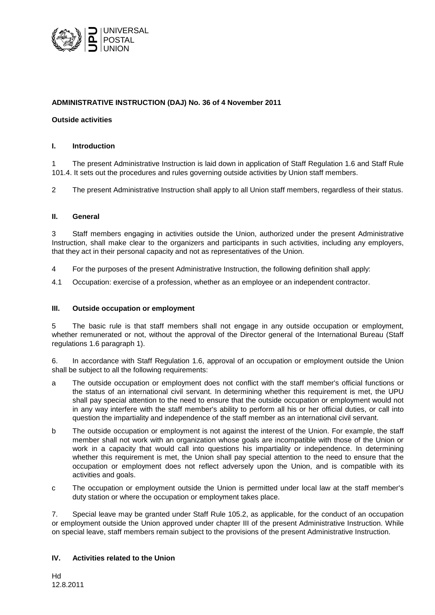

# **ADMINISTRATIVE INSTRUCTION (DAJ) No. 36 of 4 November 2011**

## **Outside activities**

## **I. Introduction**

1 The present Administrative Instruction is laid down in application of Staff Regulation 1.6 and Staff Rule 101.4. It sets out the procedures and rules governing outside activities by Union staff members.

2 The present Administrative Instruction shall apply to all Union staff members, regardless of their status.

## **II. General**

3 Staff members engaging in activities outside the Union, authorized under the present Administrative Instruction, shall make clear to the organizers and participants in such activities, including any employers, that they act in their personal capacity and not as representatives of the Union.

- 4 For the purposes of the present Administrative Instruction, the following definition shall apply:
- 4.1 Occupation: exercise of a profession, whether as an employee or an independent contractor.

### **III. Outside occupation or employment**

5 The basic rule is that staff members shall not engage in any outside occupation or employment, whether remunerated or not, without the approval of the Director general of the International Bureau (Staff regulations 1.6 paragraph 1).

6. In accordance with Staff Regulation 1.6, approval of an occupation or employment outside the Union shall be subject to all the following requirements:

- a The outside occupation or employment does not conflict with the staff member's official functions or the status of an international civil servant. In determining whether this requirement is met, the UPU shall pay special attention to the need to ensure that the outside occupation or employment would not in any way interfere with the staff member's ability to perform all his or her official duties, or call into question the impartiality and independence of the staff member as an international civil servant.
- b The outside occupation or employment is not against the interest of the Union. For example, the staff member shall not work with an organization whose goals are incompatible with those of the Union or work in a capacity that would call into questions his impartiality or independence. In determining whether this requirement is met, the Union shall pay special attention to the need to ensure that the occupation or employment does not reflect adversely upon the Union, and is compatible with its activities and goals.
- c The occupation or employment outside the Union is permitted under local law at the staff member's duty station or where the occupation or employment takes place.

7. Special leave may be granted under Staff Rule 105.2, as applicable, for the conduct of an occupation or employment outside the Union approved under chapter III of the present Administrative Instruction. While on special leave, staff members remain subject to the provisions of the present Administrative Instruction.

# **IV. Activities related to the Union**

Hd 12.8.2011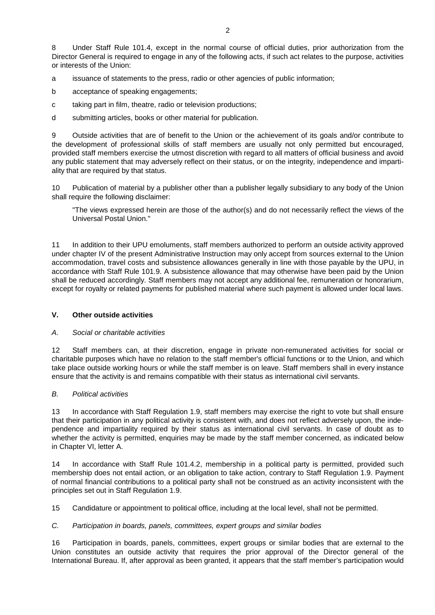8 Under Staff Rule 101.4, except in the normal course of official duties, prior authorization from the Director General is required to engage in any of the following acts, if such act relates to the purpose, activities or interests of the Union:

a issuance of statements to the press, radio or other agencies of public information;

b acceptance of speaking engagements;

c taking part in film, theatre, radio or television productions;

d submitting articles, books or other material for publication.

9 Outside activities that are of benefit to the Union or the achievement of its goals and/or contribute to the development of professional skills of staff members are usually not only permitted but encouraged, provided staff members exercise the utmost discretion with regard to all matters of official business and avoid any public statement that may adversely reflect on their status, or on the integrity, independence and impartiality that are required by that status.

10 Publication of material by a publisher other than a publisher legally subsidiary to any body of the Union shall require the following disclaimer:

"The views expressed herein are those of the author(s) and do not necessarily reflect the views of the Universal Postal Union."

11 In addition to their UPU emoluments, staff members authorized to perform an outside activity approved under chapter IV of the present Administrative Instruction may only accept from sources external to the Union accommodation, travel costs and subsistence allowances generally in line with those payable by the UPU, in accordance with Staff Rule 101.9. A subsistence allowance that may otherwise have been paid by the Union shall be reduced accordingly. Staff members may not accept any additional fee, remuneration or honorarium, except for royalty or related payments for published material where such payment is allowed under local laws.

## **V. Other outside activities**

### *A. Social or charitable activities*

12 Staff members can, at their discretion, engage in private non-remunerated activities for social or charitable purposes which have no relation to the staff member's official functions or to the Union, and which take place outside working hours or while the staff member is on leave. Staff members shall in every instance ensure that the activity is and remains compatible with their status as international civil servants.

#### *B. Political activities*

13 In accordance with Staff Regulation 1.9, staff members may exercise the right to vote but shall ensure that their participation in any political activity is consistent with, and does not reflect adversely upon, the independence and impartiality required by their status as international civil servants. In case of doubt as to whether the activity is permitted, enquiries may be made by the staff member concerned, as indicated below in Chapter VI, letter A.

14 In accordance with Staff Rule 101.4.2, membership in a political party is permitted, provided such membership does not entail action, or an obligation to take action, contrary to Staff Regulation 1.9. Payment of normal financial contributions to a political party shall not be construed as an activity inconsistent with the principles set out in Staff Regulation 1.9.

15 Candidature or appointment to political office, including at the local level, shall not be permitted.

#### *C. Participation in boards, panels, committees, expert groups and similar bodies*

16 Participation in boards, panels, committees, expert groups or similar bodies that are external to the Union constitutes an outside activity that requires the prior approval of the Director general of the International Bureau. If, after approval as been granted, it appears that the staff member's participation would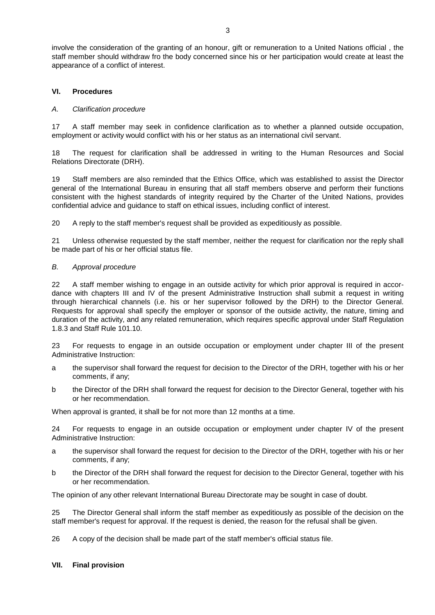involve the consideration of the granting of an honour, gift or remuneration to a United Nations official , the staff member should withdraw fro the body concerned since his or her participation would create at least the appearance of a conflict of interest.

## **VI. Procedures**

### *A. Clarification procedure*

17 A staff member may seek in confidence clarification as to whether a planned outside occupation, employment or activity would conflict with his or her status as an international civil servant.

18 The request for clarification shall be addressed in writing to the Human Resources and Social Relations Directorate (DRH).

19 Staff members are also reminded that the Ethics Office, which was established to assist the Director general of the International Bureau in ensuring that all staff members observe and perform their functions consistent with the highest standards of integrity required by the Charter of the United Nations, provides confidential advice and guidance to staff on ethical issues, including conflict of interest.

20 A reply to the staff member's request shall be provided as expeditiously as possible.

21 Unless otherwise requested by the staff member, neither the request for clarification nor the reply shall be made part of his or her official status file.

## *B. Approval procedure*

22 A staff member wishing to engage in an outside activity for which prior approval is required in accordance with chapters III and IV of the present Administrative Instruction shall submit a request in writing through hierarchical channels (i.e. his or her supervisor followed by the DRH) to the Director General. Requests for approval shall specify the employer or sponsor of the outside activity, the nature, timing and duration of the activity, and any related remuneration, which requires specific approval under Staff Regulation 1.8.3 and Staff Rule 101.10.

23 For requests to engage in an outside occupation or employment under chapter III of the present Administrative Instruction:

- a the supervisor shall forward the request for decision to the Director of the DRH, together with his or her comments, if any;
- b the Director of the DRH shall forward the request for decision to the Director General, together with his or her recommendation.

When approval is granted, it shall be for not more than 12 months at a time.

24 For requests to engage in an outside occupation or employment under chapter IV of the present Administrative Instruction:

- a the supervisor shall forward the request for decision to the Director of the DRH, together with his or her comments, if any;
- b the Director of the DRH shall forward the request for decision to the Director General, together with his or her recommendation.

The opinion of any other relevant International Bureau Directorate may be sought in case of doubt.

25 The Director General shall inform the staff member as expeditiously as possible of the decision on the staff member's request for approval. If the request is denied, the reason for the refusal shall be given.

26 A copy of the decision shall be made part of the staff member's official status file.

### **VII. Final provision**